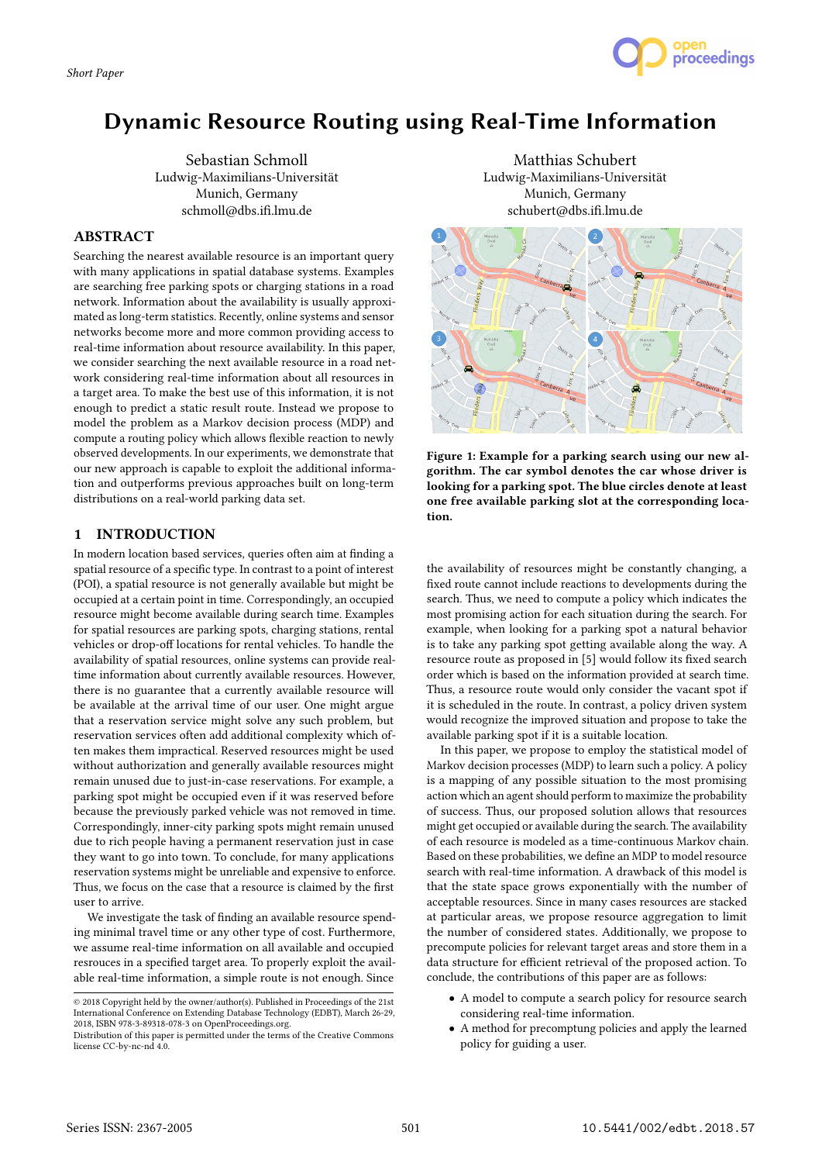*Short Paper*



# Dynamic Resource Routing using Real-Time Information

Sebastian Schmoll Ludwig-Maximilians-Universität Munich, Germany schmoll@dbs.ifi.lmu.de

## ABSTRACT

Searching the nearest available resource is an important query with many applications in spatial database systems. Examples are searching free parking spots or charging stations in a road network. Information about the availability is usually approximated as long-term statistics. Recently, online systems and sensor networks become more and more common providing access to real-time information about resource availability. In this paper, we consider searching the next available resource in a road network considering real-time information about all resources in a target area. To make the best use of this information, it is not enough to predict a static result route. Instead we propose to model the problem as a Markov decision process (MDP) and compute a routing policy which allows flexible reaction to newly observed developments. In our experiments, we demonstrate that our new approach is capable to exploit the additional information and outperforms previous approaches built on long-term distributions on a real-world parking data set.

## 1 INTRODUCTION

In modern location based services, queries often aim at finding a spatial resource of a specific type. In contrast to a point of interest (POI), a spatial resource is not generally available but might be occupied at a certain point in time. Correspondingly, an occupied resource might become available during search time. Examples for spatial resources are parking spots, charging stations, rental vehicles or drop-off locations for rental vehicles. To handle the availability of spatial resources, online systems can provide realtime information about currently available resources. However, there is no guarantee that a currently available resource will be available at the arrival time of our user. One might argue that a reservation service might solve any such problem, but reservation services often add additional complexity which often makes them impractical. Reserved resources might be used without authorization and generally available resources might remain unused due to just-in-case reservations. For example, a parking spot might be occupied even if it was reserved before because the previously parked vehicle was not removed in time. Correspondingly, inner-city parking spots might remain unused due to rich people having a permanent reservation just in case they want to go into town. To conclude, for many applications reservation systems might be unreliable and expensive to enforce. Thus, we focus on the case that a resource is claimed by the first user to arrive.

We investigate the task of finding an available resource spending minimal travel time or any other type of cost. Furthermore, we assume real-time information on all available and occupied resrouces in a specified target area. To properly exploit the available real-time information, a simple route is not enough. Since

Matthias Schubert Ludwig-Maximilians-Universität Munich, Germany schubert@dbs.ifi.lmu.de



Figure 1: Example for a parking search using our new algorithm. The car symbol denotes the car whose driver is looking for a parking spot. The blue circles denote at least one free available parking slot at the corresponding location.

the availability of resources might be constantly changing, a fixed route cannot include reactions to developments during the search. Thus, we need to compute a policy which indicates the most promising action for each situation during the search. For example, when looking for a parking spot a natural behavior is to take any parking spot getting available along the way. A resource route as proposed in [5] would follow its fixed search order which is based on the information provided at search time. Thus, a resource route would only consider the vacant spot if it is scheduled in the route. In contrast, a policy driven system would recognize the improved situation and propose to take the available parking spot if it is a suitable location.

In this paper, we propose to employ the statistical model of Markov decision processes (MDP) to learn such a policy. A policy is a mapping of any possible situation to the most promising action which an agent should perform to maximize the probability of success. Thus, our proposed solution allows that resources might get occupied or available during the search. The availability of each resource is modeled as a time-continuous Markov chain. Based on these probabilities, we define an MDP to model resource search with real-time information. A drawback of this model is that the state space grows exponentially with the number of acceptable resources. Since in many cases resources are stacked at particular areas, we propose resource aggregation to limit the number of considered states. Additionally, we propose to precompute policies for relevant target areas and store them in a data structure for efficient retrieval of the proposed action. To conclude, the contributions of this paper are as follows:

- A model to compute a search policy for resource search considering real-time information.
- A method for precomptung policies and apply the learned policy for guiding a user.

<sup>©</sup> 2018 Copyright held by the owner/author(s). Published in Proceedings of the 21st International Conference on Extending Database Technology (EDBT), March 26-29, 2018, ISBN 978-3-89318-078-3 on OpenProceedings.org.

Distribution of this paper is permitted under the terms of the Creative Commons license CC-by-nc-nd 4.0.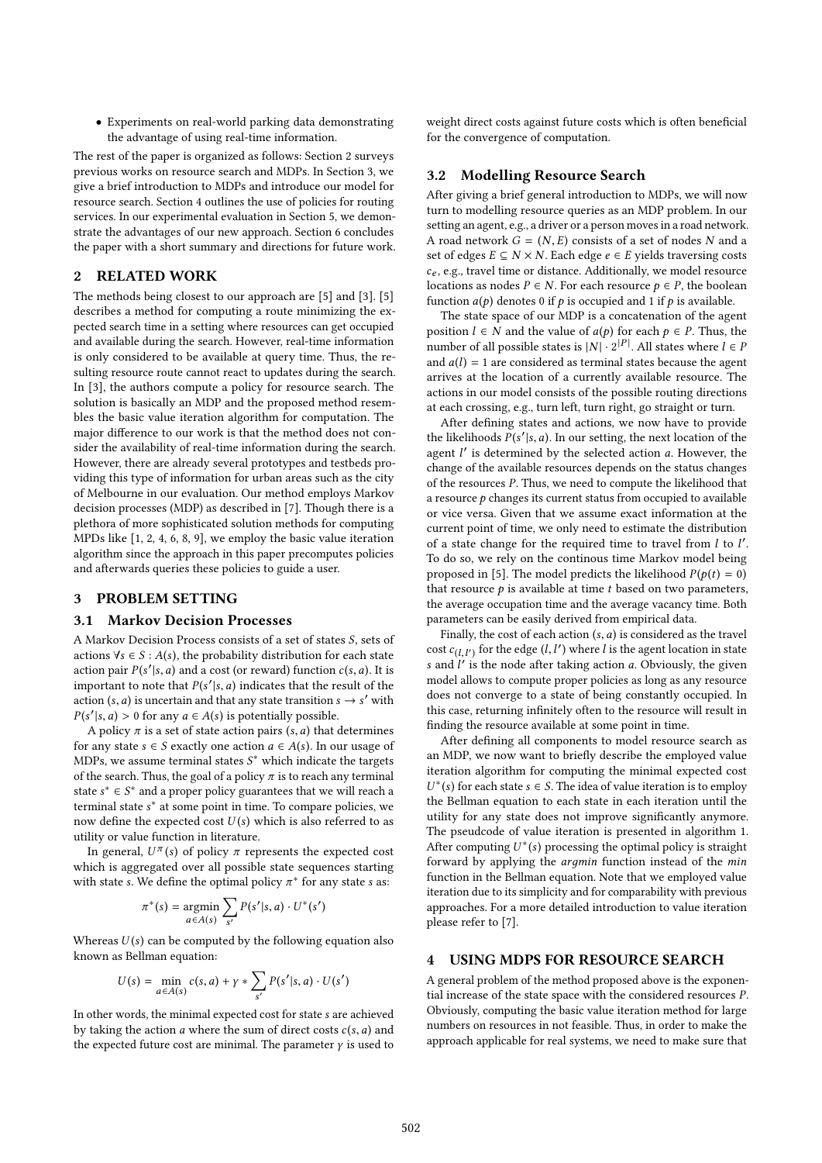• Experiments on real-world parking data demonstrating the advantage of using real-time information.

The rest of the paper is organized as follows: Section 2 surveys previous works on resource search and MDPs. In Section 3, we give a brief introduction to MDPs and introduce our model for resource search. Section 4 outlines the use of policies for routing services. In our experimental evaluation in Section 5, we demonstrate the advantages of our new approach. Section 6 concludes the paper with a short summary and directions for future work.

#### 2 RELATED WORK

The methods being closest to our approach are [5] and [3]. [5] describes a method for computing a route minimizing the expected search time in a setting where resources can get occupied and available during the search. However, real-time information is only considered to be available at query time. Thus, the resulting resource route cannot react to updates during the search. In [3], the authors compute a policy for resource search. The solution is basically an MDP and the proposed method resembles the basic value iteration algorithm for computation. The major difference to our work is that the method does not consider the availability of real-time information during the search. However, there are already several prototypes and testbeds providing this type of information for urban areas such as the city of Melbourne in our evaluation. Our method employs Markov decision processes (MDP) as described in [7]. Though there is a plethora of more sophisticated solution methods for computing MPDs like [1, 2, 4, 6, 8, 9], we employ the basic value iteration algorithm since the approach in this paper precomputes policies and afterwards queries these policies to guide a user.

## 3 PROBLEM SETTING

#### 3.1 Markov Decision Processes

A Markov Decision Process consists of a set of states S, sets of actions  $\forall s \in S : A(s)$ , the probability distribution for each state action pair  $P(s'|s, a)$  and a cost (or reward) function  $c(s, a)$ . It is important to note that  $P(s'|s, a)$  indicates that the result of the existing  $(s, a)$  is uncertain and that any state transition  $s \rightarrow s'$  with action  $(s, a)$  is uncertain and that any state transition  $s \to s'$  with  $P(s'|s, a) > 0$  for any  $a \in A(s)$  is potentially possible  $P(s'|s, a) > 0$  for any  $a \in A(s)$  is potentially possible.<br>A policy  $\pi$  is a set of state action pairs  $(s, a)$  that

A policy  $\pi$  is a set of state action pairs (s, a) that determines for any state  $s \in S$  exactly one action  $a \in A(s)$ . In our usage of MDPs, we assume terminal states  $S^*$  which indicate the targets of the search. Thus, the road of a policy  $\pi$  is to reach any terminal of the search. Thus, the goal of a policy  $\pi$  is to reach any terminal state  $s^* \in S^*$  and a proper policy guarantees that we will reach a terminal state  $s^*$  at some point in time. To compare policies, we terminal state  $s^*$  at some point in time. To compare policies, we<br>now define the expected cost  $U(s)$  which is also referred to as now define the expected cost  $U(s)$  which is also referred to as utility or value function in literature.

In general,  $U^{\pi}(s)$  of policy  $\pi$  represents the expected cost<br>sich is aggregated over all possible state sequences starting which is aggregated over all possible state sequences starting with state s. We define the optimal policy  $\pi^*$  for any state s as:

$$
\pi^*(s) = \underset{a \in A(s)}{\operatorname{argmin}} \sum_{s'} P(s'|s, a) \cdot U^*(s')
$$

Whereas  $U(s)$  can be computed by the following equation also known as Bellman equation:

$$
U(s) = \min_{a \in A(s)} c(s, a) + \gamma * \sum_{s'} P(s'|s, a) \cdot U(s')
$$

In other words, the minimal expected cost for state s are achieved by taking the action a where the sum of direct costs  $c(s, a)$  and the expected future cost are minimal. The parameter  $\gamma$  is used to

weight direct costs against future costs which is often beneficial for the convergence of computation.

#### 3.2 Modelling Resource Search

After giving a brief general introduction to MDPs, we will now turn to modelling resource queries as an MDP problem. In our setting an agent, e.g., a driver or a person moves in a road network. A road network  $G = (N, E)$  consists of a set of nodes N and a set of edges  $E \subseteq N \times N$ . Each edge  $e \in E$  yields traversing costs  $c_e$ , e.g., travel time or distance. Additionally, we model resource locations as nodes  $P \in N$ . For each resource  $p \in P$ , the boolean function  $a(p)$  denotes 0 if p is occupied and 1 if p is available.

The state space of our MDP is a concatenation of the agent position  $l \in N$  and the value of  $a(p)$  for each  $p \in P$ . Thus, the number of all possible states is  $|N| \cdot 2^{|P|}$ . All states where  $l \in P$ <br>and  $a(l) = 1$  are considered as terminal states because the agent and  $a(l) = 1$  are considered as terminal states because the agent arrives at the location of a currently available resource. The actions in our model consists of the possible routing directions at each crossing, e.g., turn left, turn right, go straight or turn.

After defining states and actions, we now have to provide the likelihoods  $\overline{P}(s'|s, a)$ . In our setting, the next location of the agent *l'* is determined by the selected action *a*. However, the agent *l'* is determined by the selected action *a*. However, the change of the available resources depends on the status changes change of the available resources depends on the status changes of the resources P. Thus, we need to compute the likelihood that a resource  $p$  changes its current status from occupied to available or vice versa. Given that we assume exact information at the current point of time, we only need to estimate the distribution of a state change for the required time to travel from  $l$  to  $l'$ .<br>To do so we rely on the continuus time Markov model being To do so, we rely on the continous time Markov model being proposed in [5]. The model predicts the likelihood  $P(p(t) = 0)$ that resource  $p$  is available at time  $t$  based on two parameters, the average occupation time and the average vacancy time. Both parameters can be easily derived from empirical data.

Finally, the cost of each action  $(s, a)$  is considered as the travel cost  $c_{(l,l')}$  for the edge  $(l,l')$  where l is the agent location in state<br>s and l' is the node after taking action a. Obviously, the given s and  $\ddot{l}'$  is the node after taking action a. Obviously, the given<br>model allows to compute proper policies as long as any resource model allows to compute proper policies as long as any resource does not converge to a state of being constantly occupied. In this case, returning infinitely often to the resource will result in finding the resource available at some point in time.

After defining all components to model resource search as an MDP, we now want to briefly describe the employed value iteration algorithm for computing the minimal expected cost U the Bellman equation to each state in each iteration until the ∗ (s) for each state s <sup>∈</sup> S. The idea of value iteration is to employ utility for any state does not improve significantly anymore. The pseudcode of value iteration is presented in algorithm 1. After computing  $U^*(s)$  processing the optimal policy is straight forward by applying the *aramin* function instead of the min forward by applying the *argmin* function instead of the *min* function in the Bellman equation. Note that we employed value iteration due to its simplicity and for comparability with previous approaches. For a more detailed introduction to value iteration please refer to [7].

#### 4 USING MDPS FOR RESOURCE SEARCH

A general problem of the method proposed above is the exponential increase of the state space with the considered resources P. Obviously, computing the basic value iteration method for large numbers on resources in not feasible. Thus, in order to make the approach applicable for real systems, we need to make sure that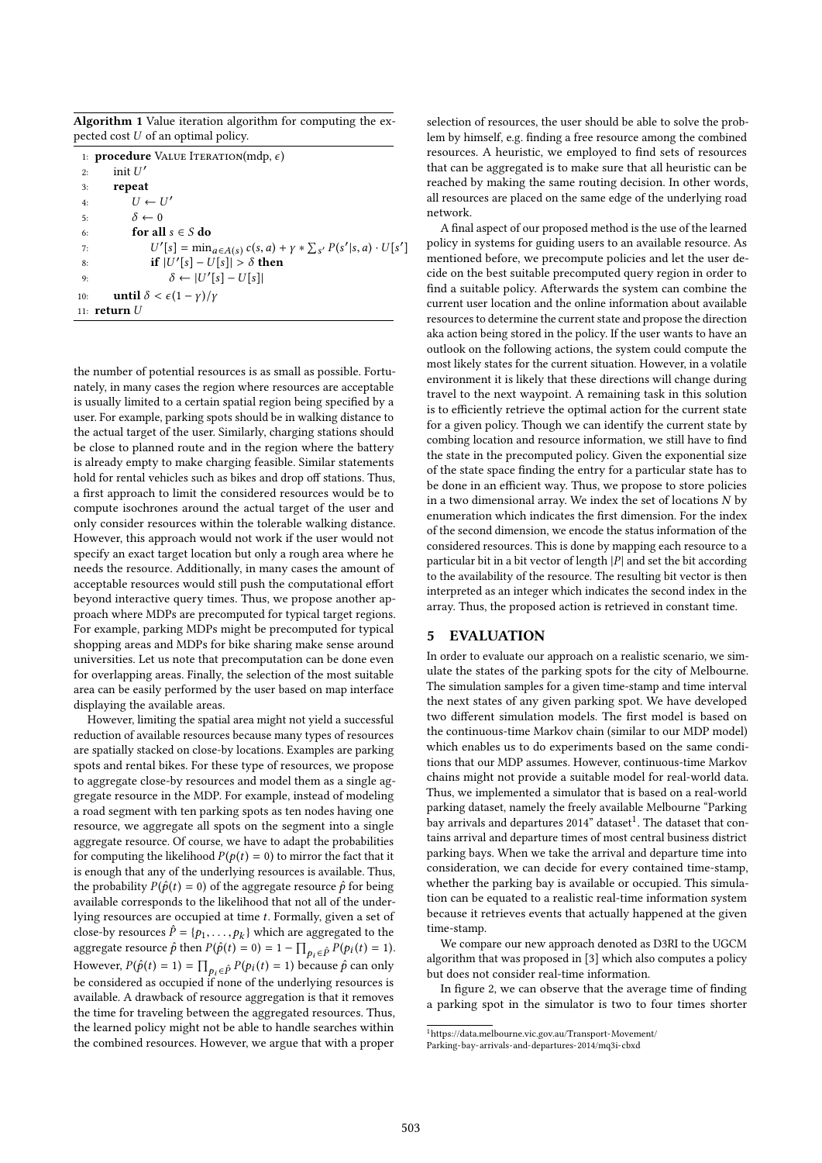| <b>Algorithm 1</b> Value iteration algorithm for computing the ex- |  |  |  |  |
|--------------------------------------------------------------------|--|--|--|--|
| pected cost U of an optimal policy.                                |  |  |  |  |
|                                                                    |  |  |  |  |

|     | 1: <b>procedure</b> VALUE ITERATION(mdp, $\epsilon$ )                           |
|-----|---------------------------------------------------------------------------------|
| 2:  | init $U'$                                                                       |
| 3:  | repeat                                                                          |
| 4:  | $U \leftarrow U'$                                                               |
| 5:  | $\delta \leftarrow 0$                                                           |
| 6:  | for all $s \in S$ do                                                            |
| 7:  | $U'[s] = \min_{a \in A(s)} c(s, a) + \gamma * \sum_{s'} P(s' s, a) \cdot U[s']$ |
| 8:  | if $ U'[s] - U[s]  > \delta$ then                                               |
| 9:  | $\delta \leftarrow  U'[s] - U[s] $                                              |
| 10: | until $\delta < \epsilon(1-\gamma)/\gamma$                                      |
|     | 11: $return U$                                                                  |
|     |                                                                                 |

the number of potential resources is as small as possible. Fortunately, in many cases the region where resources are acceptable is usually limited to a certain spatial region being specified by a user. For example, parking spots should be in walking distance to the actual target of the user. Similarly, charging stations should be close to planned route and in the region where the battery is already empty to make charging feasible. Similar statements hold for rental vehicles such as bikes and drop off stations. Thus, a first approach to limit the considered resources would be to compute isochrones around the actual target of the user and only consider resources within the tolerable walking distance. However, this approach would not work if the user would not specify an exact target location but only a rough area where he needs the resource. Additionally, in many cases the amount of acceptable resources would still push the computational effort beyond interactive query times. Thus, we propose another approach where MDPs are precomputed for typical target regions. For example, parking MDPs might be precomputed for typical shopping areas and MDPs for bike sharing make sense around universities. Let us note that precomputation can be done even for overlapping areas. Finally, the selection of the most suitable area can be easily performed by the user based on map interface displaying the available areas.

However, limiting the spatial area might not yield a successful reduction of available resources because many types of resources are spatially stacked on close-by locations. Examples are parking spots and rental bikes. For these type of resources, we propose to aggregate close-by resources and model them as a single aggregate resource in the MDP. For example, instead of modeling a road segment with ten parking spots as ten nodes having one resource, we aggregate all spots on the segment into a single aggregate resource. Of course, we have to adapt the probabilities for computing the likelihood  $P(p(t) = 0)$  to mirror the fact that it is enough that any of the underlying resources is available. Thus, the probability  $P(\hat{p}(t) = 0)$  of the aggregate resource  $\hat{p}$  for being available corresponds to the likelihood that not all of the underlying resources are occupied at time t. Formally, given a set of close-by resources  $\hat{P} = \{p_1, \ldots, p_k\}$  which are aggregated to the aggregated to the aggregate resource  $\hat{P}$  then  $P(\hat{P}(t) = 0) = 1 - \prod_{i=1}^{k} P(p_i(t) = 1)$ aggregate resource  $\hat{p}$  then  $P(\hat{p}(t) = 0) = 1 - \prod_{p_i \in \hat{P}} P(p_i(t) = 1)$ . However,  $P(\hat{p}(t) = 1) = \prod_{p_i \in \hat{P}} P(p_i(t) = 1)$  because  $\hat{p}$  can only be considered as occupied if none of the underlying resources is available. A drawback of resource aggregation is that it removes the time for traveling between the aggregated resources. Thus, the learned policy might not be able to handle searches within the combined resources. However, we argue that with a proper

selection of resources, the user should be able to solve the problem by himself, e.g. finding a free resource among the combined resources. A heuristic, we employed to find sets of resources that can be aggregated is to make sure that all heuristic can be reached by making the same routing decision. In other words, all resources are placed on the same edge of the underlying road network.

A final aspect of our proposed method is the use of the learned policy in systems for guiding users to an available resource. As mentioned before, we precompute policies and let the user decide on the best suitable precomputed query region in order to find a suitable policy. Afterwards the system can combine the current user location and the online information about available resources to determine the current state and propose the direction aka action being stored in the policy. If the user wants to have an outlook on the following actions, the system could compute the most likely states for the current situation. However, in a volatile environment it is likely that these directions will change during travel to the next waypoint. A remaining task in this solution is to efficiently retrieve the optimal action for the current state for a given policy. Though we can identify the current state by combing location and resource information, we still have to find the state in the precomputed policy. Given the exponential size of the state space finding the entry for a particular state has to be done in an efficient way. Thus, we propose to store policies in a two dimensional array. We index the set of locations  $N$  by enumeration which indicates the first dimension. For the index of the second dimension, we encode the status information of the considered resources. This is done by mapping each resource to a particular bit in a bit vector of length  $|P|$  and set the bit according to the availability of the resource. The resulting bit vector is then interpreted as an integer which indicates the second index in the array. Thus, the proposed action is retrieved in constant time.

#### 5 EVALUATION

In order to evaluate our approach on a realistic scenario, we simulate the states of the parking spots for the city of Melbourne. The simulation samples for a given time-stamp and time interval the next states of any given parking spot. We have developed two different simulation models. The first model is based on the continuous-time Markov chain (similar to our MDP model) which enables us to do experiments based on the same conditions that our MDP assumes. However, continuous-time Markov chains might not provide a suitable model for real-world data. Thus, we implemented a simulator that is based on a real-world parking dataset, namely the freely available Melbourne "Parking bay arrivals and departures 2014" dataset<sup>1</sup>. The dataset that contains arrival and departure times of most central business district parking bays. When we take the arrival and departure time into consideration, we can decide for every contained time-stamp, whether the parking bay is available or occupied. This simulation can be equated to a realistic real-time information system because it retrieves events that actually happened at the given time-stamp.

We compare our new approach denoted as D3RI to the UGCM algorithm that was proposed in [3] which also computes a policy but does not consider real-time information.

In figure 2, we can observe that the average time of finding a parking spot in the simulator is two to four times shorter

 $^1$ https://data.melbourne.vic.gov.au/Transport-Movement/ Parking-bay-arrivals-and-departures-2014/mq3i-cbxd